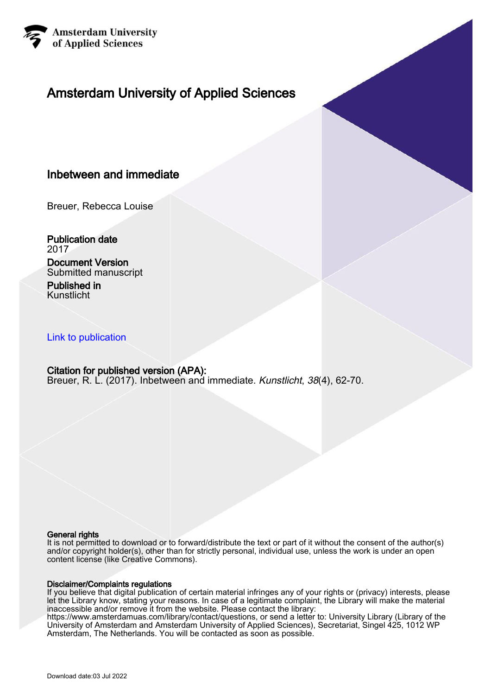

# Amsterdam University of Applied Sciences

## Inbetween and immediate

Breuer, Rebecca Louise

Publication date 2017

Document Version Submitted manuscript

Published in Kunstlicht

### [Link to publication](https://research.hva.nl/en/publications/0ff02a59-5005-40c6-b1ec-7fce1b128f7b)

## Citation for published version (APA):

Breuer, R. L. (2017). Inbetween and immediate. Kunstlicht, 38(4), 62-70.

#### General rights

It is not permitted to download or to forward/distribute the text or part of it without the consent of the author(s) and/or copyright holder(s), other than for strictly personal, individual use, unless the work is under an open content license (like Creative Commons).

#### Disclaimer/Complaints regulations

If you believe that digital publication of certain material infringes any of your rights or (privacy) interests, please let the Library know, stating your reasons. In case of a legitimate complaint, the Library will make the material inaccessible and/or remove it from the website. Please contact the library:

https://www.amsterdamuas.com/library/contact/questions, or send a letter to: University Library (Library of the University of Amsterdam and Amsterdam University of Applied Sciences), Secretariat, Singel 425, 1012 WP Amsterdam, The Netherlands. You will be contacted as soon as possible.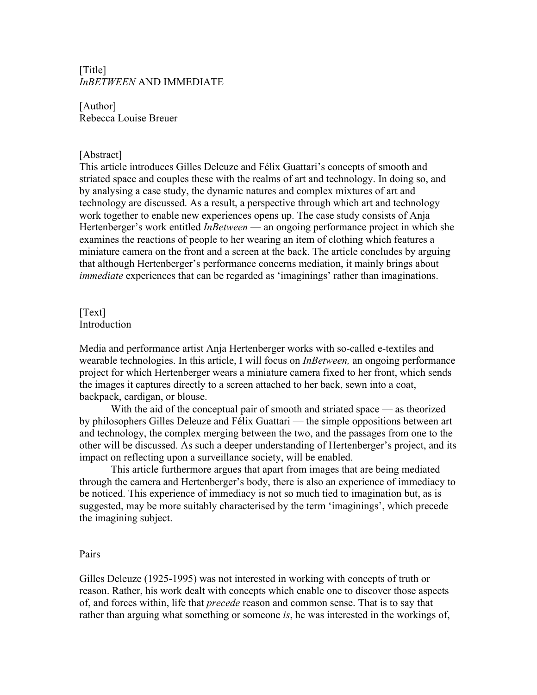## [Title] *InBETWEEN* AND IMMEDIATE

[Author] Rebecca Louise Breuer

#### [Abstract]

This article introduces Gilles Deleuze and Félix Guattari's concepts of smooth and striated space and couples these with the realms of art and technology. In doing so, and by analysing a case study, the dynamic natures and complex mixtures of art and technology are discussed. As a result, a perspective through which art and technology work together to enable new experiences opens up. The case study consists of Anja Hertenberger's work entitled *InBetween* — an ongoing performance project in which she examines the reactions of people to her wearing an item of clothing which features a miniature camera on the front and a screen at the back. The article concludes by arguing that although Hertenberger's performance concerns mediation, it mainly brings about *immediate* experiences that can be regarded as 'imaginings' rather than imaginations.

#### [Text] Introduction

Media and performance artist Anja Hertenberger works with so-called e-textiles and wearable technologies. In this article, I will focus on *InBetween,* an ongoing performance project for which Hertenberger wears a miniature camera fixed to her front, which sends the images it captures directly to a screen attached to her back, sewn into a coat, backpack, cardigan, or blouse.

With the aid of the conceptual pair of smooth and striated space — as theorized by philosophers Gilles Deleuze and Félix Guattari — the simple oppositions between art and technology, the complex merging between the two, and the passages from one to the other will be discussed. As such a deeper understanding of Hertenberger's project, and its impact on reflecting upon a surveillance society, will be enabled.

This article furthermore argues that apart from images that are being mediated through the camera and Hertenberger's body, there is also an experience of immediacy to be noticed. This experience of immediacy is not so much tied to imagination but, as is suggested, may be more suitably characterised by the term 'imaginings', which precede the imagining subject.

#### Pairs

Gilles Deleuze (1925-1995) was not interested in working with concepts of truth or reason. Rather, his work dealt with concepts which enable one to discover those aspects of, and forces within, life that *precede* reason and common sense. That is to say that rather than arguing what something or someone *is*, he was interested in the workings of,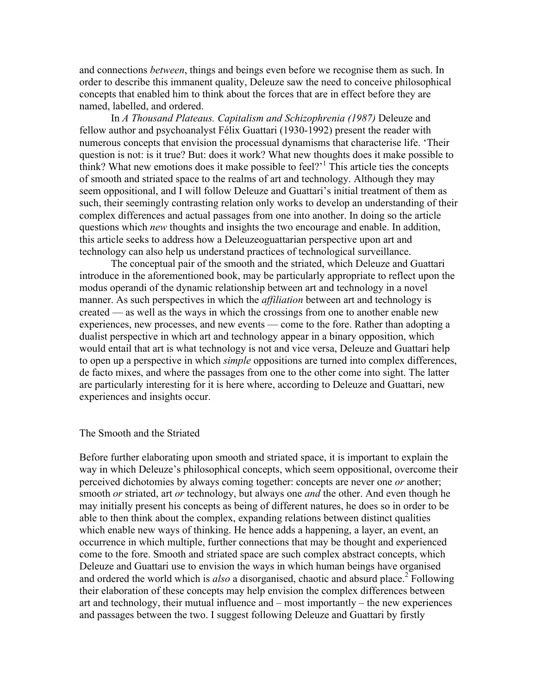and connections *between*, things and beings even before we recognise them as such. In order to describe this immanent quality, Deleuze saw the need to conceive philosophical concepts that enabled him to think about the forces that are in effect before they are named, labelled, and ordered.

In *A Thousand Plateaus. Capitalism and Schizophrenia (1987)* Deleuze and fellow author and psychoanalyst Félix Guattari (1930-1992) present the reader with numerous concepts that envision the processual dynamisms that characterise life. 'Their question is not: is it true? But: does it work? What new thoughts does it make possible to think? What new emotions does it make possible to feel?'<sup>1</sup> This article ties the concepts of smooth and striated space to the realms of art and technology. Although they may seem oppositional, and I will follow Deleuze and Guattari's initial treatment of them as such, their seemingly contrasting relation only works to develop an understanding of their complex differences and actual passages from one into another. In doing so the article questions which *new* thoughts and insights the two encourage and enable. In addition, this article seeks to address how a Deleuzeoguattarian perspective upon art and technology can also help us understand practices of technological surveillance.

The conceptual pair of the smooth and the striated, which Deleuze and Guattari introduce in the aforementioned book, may be particularly appropriate to reflect upon the modus operandi of the dynamic relationship between art and technology in a novel manner. As such perspectives in which the *affiliation* between art and technology is created — as well as the ways in which the crossings from one to another enable new experiences, new processes, and new events — come to the fore. Rather than adopting a dualist perspective in which art and technology appear in a binary opposition, which would entail that art is what technology is not and vice versa, Deleuze and Guattari help to open up a perspective in which *simple* oppositions are turned into complex differences, de facto mixes, and where the passages from one to the other come into sight. The latter are particularly interesting for it is here where, according to Deleuze and Guattari, new experiences and insights occur.

#### The Smooth and the Striated

Before further elaborating upon smooth and striated space, it is important to explain the way in which Deleuze's philosophical concepts, which seem oppositional, overcome their perceived dichotomies by always coming together: concepts are never one *or* another; smooth *or* striated, art *or* technology, but always one *and* the other. And even though he may initially present his concepts as being of different natures, he does so in order to be able to then think about the complex, expanding relations between distinct qualities which enable new ways of thinking. He hence adds a happening, a layer, an event, an occurrence in which multiple, further connections that may be thought and experienced come to the fore. Smooth and striated space are such complex abstract concepts, which Deleuze and Guattari use to envision the ways in which human beings have organised and ordered the world which is *also* a disorganised, chaotic and absurd place.<sup>2</sup> Following their elaboration of these concepts may help envision the complex differences between art and technology, their mutual influence and – most importantly – the new experiences and passages between the two. I suggest following Deleuze and Guattari by firstly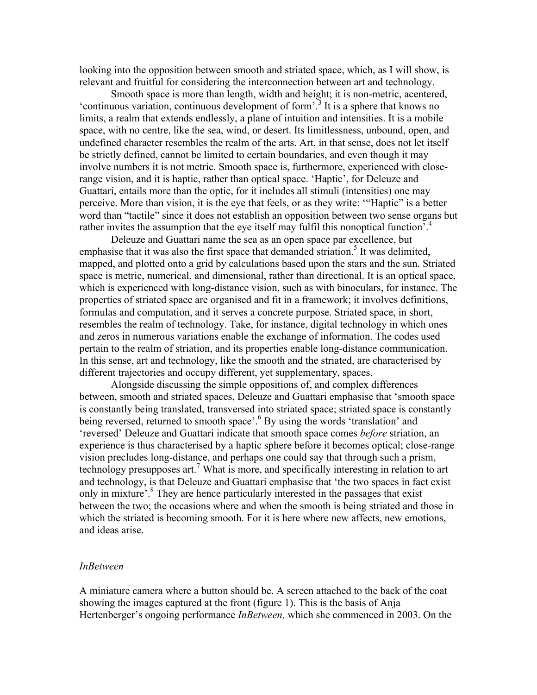looking into the opposition between smooth and striated space, which, as I will show, is relevant and fruitful for considering the interconnection between art and technology.

Smooth space is more than length, width and height; it is non-metric, acentered, 'continuous variation, continuous development of form'.<sup>3</sup> It is a sphere that knows no limits, a realm that extends endlessly, a plane of intuition and intensities. It is a mobile space, with no centre, like the sea, wind, or desert. Its limitlessness, unbound, open, and undefined character resembles the realm of the arts. Art, in that sense, does not let itself be strictly defined, cannot be limited to certain boundaries, and even though it may involve numbers it is not metric. Smooth space is, furthermore, experienced with closerange vision, and it is haptic, rather than optical space. 'Haptic', for Deleuze and Guattari, entails more than the optic, for it includes all stimuli (intensities) one may perceive. More than vision, it is the eye that feels, or as they write: '"Haptic" is a better word than "tactile" since it does not establish an opposition between two sense organs but rather invites the assumption that the eye itself may fulfil this nonoptical function<sup>7</sup>.<sup>4</sup>

Deleuze and Guattari name the sea as an open space par excellence, but emphasise that it was also the first space that demanded striation.<sup>5</sup> It was delimited, mapped, and plotted onto a grid by calculations based upon the stars and the sun. Striated space is metric, numerical, and dimensional, rather than directional. It is an optical space, which is experienced with long-distance vision, such as with binoculars, for instance. The properties of striated space are organised and fit in a framework; it involves definitions, formulas and computation, and it serves a concrete purpose. Striated space, in short, resembles the realm of technology. Take, for instance, digital technology in which ones and zeros in numerous variations enable the exchange of information. The codes used pertain to the realm of striation, and its properties enable long-distance communication. In this sense, art and technology, like the smooth and the striated, are characterised by different trajectories and occupy different, yet supplementary, spaces.

Alongside discussing the simple oppositions of, and complex differences between, smooth and striated spaces, Deleuze and Guattari emphasise that 'smooth space is constantly being translated, transversed into striated space; striated space is constantly being reversed, returned to smooth space'.<sup>6</sup> By using the words 'translation' and 'reversed' Deleuze and Guattari indicate that smooth space comes *before* striation, an experience is thus characterised by a haptic sphere before it becomes optical; close-range vision precludes long-distance, and perhaps one could say that through such a prism, technology presupposes art.<sup>7</sup> What is more, and specifically interesting in relation to art and technology, is that Deleuze and Guattari emphasise that 'the two spaces in fact exist only in mixture<sup>3</sup>.<sup>8</sup> They are hence particularly interested in the passages that exist between the two; the occasions where and when the smooth is being striated and those in which the striated is becoming smooth. For it is here where new affects, new emotions, and ideas arise.

#### *InBetween*

A miniature camera where a button should be. A screen attached to the back of the coat showing the images captured at the front (figure 1). This is the basis of Anja Hertenberger's ongoing performance *InBetween,* which she commenced in 2003. On the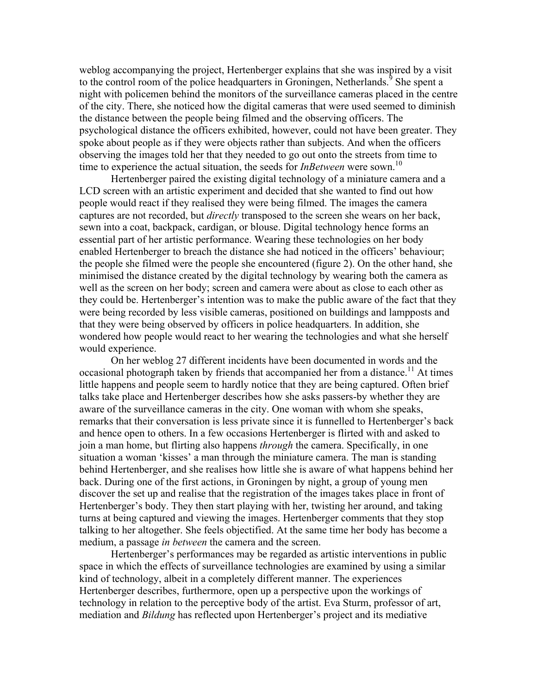weblog accompanying the project, Hertenberger explains that she was inspired by a visit to the control room of the police headquarters in Groningen, Netherlands.<sup>9</sup> She spent a night with policemen behind the monitors of the surveillance cameras placed in the centre of the city. There, she noticed how the digital cameras that were used seemed to diminish the distance between the people being filmed and the observing officers. The psychological distance the officers exhibited, however, could not have been greater. They spoke about people as if they were objects rather than subjects. And when the officers observing the images told her that they needed to go out onto the streets from time to time to experience the actual situation, the seeds for *InBetween* were sown.<sup>10</sup>

Hertenberger paired the existing digital technology of a miniature camera and a LCD screen with an artistic experiment and decided that she wanted to find out how people would react if they realised they were being filmed. The images the camera captures are not recorded, but *directly* transposed to the screen she wears on her back, sewn into a coat, backpack, cardigan, or blouse. Digital technology hence forms an essential part of her artistic performance. Wearing these technologies on her body enabled Hertenberger to breach the distance she had noticed in the officers' behaviour; the people she filmed were the people she encountered (figure 2). On the other hand, she minimised the distance created by the digital technology by wearing both the camera as well as the screen on her body; screen and camera were about as close to each other as they could be. Hertenberger's intention was to make the public aware of the fact that they were being recorded by less visible cameras, positioned on buildings and lampposts and that they were being observed by officers in police headquarters. In addition, she wondered how people would react to her wearing the technologies and what she herself would experience.

On her weblog 27 different incidents have been documented in words and the occasional photograph taken by friends that accompanied her from a distance.<sup>11</sup> At times little happens and people seem to hardly notice that they are being captured. Often brief talks take place and Hertenberger describes how she asks passers-by whether they are aware of the surveillance cameras in the city. One woman with whom she speaks, remarks that their conversation is less private since it is funnelled to Hertenberger's back and hence open to others. In a few occasions Hertenberger is flirted with and asked to join a man home, but flirting also happens *through* the camera. Specifically, in one situation a woman 'kisses' a man through the miniature camera. The man is standing behind Hertenberger, and she realises how little she is aware of what happens behind her back. During one of the first actions, in Groningen by night, a group of young men discover the set up and realise that the registration of the images takes place in front of Hertenberger's body. They then start playing with her, twisting her around, and taking turns at being captured and viewing the images. Hertenberger comments that they stop talking to her altogether. She feels objectified. At the same time her body has become a medium, a passage *in between* the camera and the screen.

Hertenberger's performances may be regarded as artistic interventions in public space in which the effects of surveillance technologies are examined by using a similar kind of technology, albeit in a completely different manner. The experiences Hertenberger describes, furthermore, open up a perspective upon the workings of technology in relation to the perceptive body of the artist. Eva Sturm, professor of art, mediation and *Bildung* has reflected upon Hertenberger's project and its mediative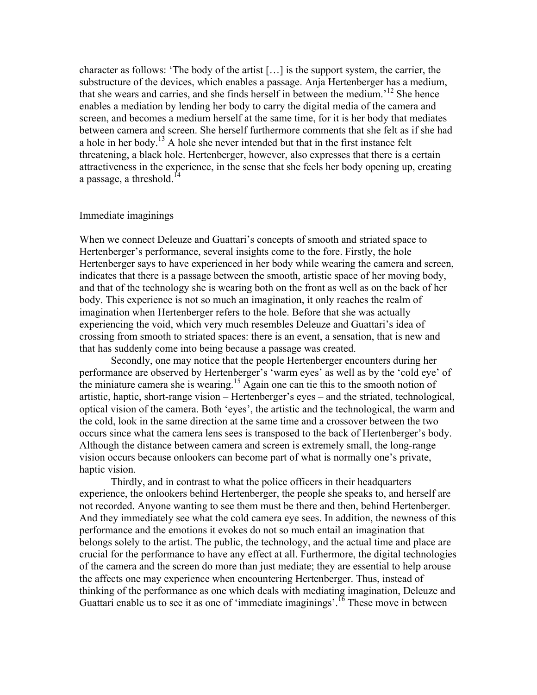character as follows: 'The body of the artist […] is the support system, the carrier, the substructure of the devices, which enables a passage. Anja Hertenberger has a medium, that she wears and carries, and she finds herself in between the medium.'<sup>12</sup> She hence enables a mediation by lending her body to carry the digital media of the camera and screen, and becomes a medium herself at the same time, for it is her body that mediates between camera and screen. She herself furthermore comments that she felt as if she had a hole in her body.<sup>13</sup> A hole she never intended but that in the first instance felt threatening, a black hole. Hertenberger, however, also expresses that there is a certain attractiveness in the experience, in the sense that she feels her body opening up, creating a passage, a threshold. $14$ 

#### Immediate imaginings

When we connect Deleuze and Guattari's concepts of smooth and striated space to Hertenberger's performance, several insights come to the fore. Firstly, the hole Hertenberger says to have experienced in her body while wearing the camera and screen, indicates that there is a passage between the smooth, artistic space of her moving body, and that of the technology she is wearing both on the front as well as on the back of her body. This experience is not so much an imagination, it only reaches the realm of imagination when Hertenberger refers to the hole. Before that she was actually experiencing the void, which very much resembles Deleuze and Guattari's idea of crossing from smooth to striated spaces: there is an event, a sensation, that is new and that has suddenly come into being because a passage was created.

Secondly, one may notice that the people Hertenberger encounters during her performance are observed by Hertenberger's 'warm eyes' as well as by the 'cold eye' of the miniature camera she is wearing.15 Again one can tie this to the smooth notion of artistic, haptic, short-range vision – Hertenberger's eyes – and the striated, technological, optical vision of the camera. Both 'eyes', the artistic and the technological, the warm and the cold, look in the same direction at the same time and a crossover between the two occurs since what the camera lens sees is transposed to the back of Hertenberger's body. Although the distance between camera and screen is extremely small, the long-range vision occurs because onlookers can become part of what is normally one's private, haptic vision.

Thirdly, and in contrast to what the police officers in their headquarters experience, the onlookers behind Hertenberger, the people she speaks to, and herself are not recorded. Anyone wanting to see them must be there and then, behind Hertenberger. And they immediately see what the cold camera eye sees. In addition, the newness of this performance and the emotions it evokes do not so much entail an imagination that belongs solely to the artist. The public, the technology, and the actual time and place are crucial for the performance to have any effect at all. Furthermore, the digital technologies of the camera and the screen do more than just mediate; they are essential to help arouse the affects one may experience when encountering Hertenberger. Thus, instead of thinking of the performance as one which deals with mediating imagination, Deleuze and Guattari enable us to see it as one of 'immediate imaginings'.<sup>16</sup> These move in between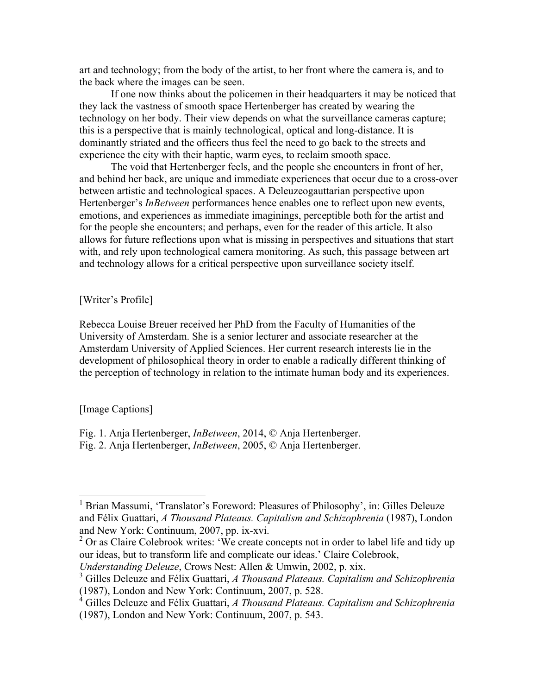art and technology; from the body of the artist, to her front where the camera is, and to the back where the images can be seen.

If one now thinks about the policemen in their headquarters it may be noticed that they lack the vastness of smooth space Hertenberger has created by wearing the technology on her body. Their view depends on what the surveillance cameras capture; this is a perspective that is mainly technological, optical and long-distance. It is dominantly striated and the officers thus feel the need to go back to the streets and experience the city with their haptic, warm eyes, to reclaim smooth space.

The void that Hertenberger feels, and the people she encounters in front of her, and behind her back, are unique and immediate experiences that occur due to a cross-over between artistic and technological spaces. A Deleuzeogauttarian perspective upon Hertenberger's *InBetween* performances hence enables one to reflect upon new events, emotions, and experiences as immediate imaginings, perceptible both for the artist and for the people she encounters; and perhaps, even for the reader of this article. It also allows for future reflections upon what is missing in perspectives and situations that start with, and rely upon technological camera monitoring. As such, this passage between art and technology allows for a critical perspective upon surveillance society itself.

[Writer's Profile]

Rebecca Louise Breuer received her PhD from the Faculty of Humanities of the University of Amsterdam. She is a senior lecturer and associate researcher at the Amsterdam University of Applied Sciences. Her current research interests lie in the development of philosophical theory in order to enable a radically different thinking of the perception of technology in relation to the intimate human body and its experiences.

[Image Captions]

Fig. 1. Anja Hertenberger, *InBetween*, 2014, © Anja Hertenberger.

Fig. 2. Anja Hertenberger, *InBetween*, 2005, © Anja Hertenberger.

<sup>&</sup>lt;sup>1</sup> Brian Massumi, 'Translator's Foreword: Pleasures of Philosophy', in: Gilles Deleuze and Félix Guattari, *A Thousand Plateaus. Capitalism and Schizophrenia* (1987), London and New York: Continuum, 2007, pp. ix-xvi.

<sup>&</sup>lt;sup>2</sup> Or as Claire Colebrook writes: 'We create concepts not in order to label life and tidy up our ideas, but to transform life and complicate our ideas.' Claire Colebrook,

*Understanding Deleuze*, Crows Nest: Allen & Umwin, 2002, p. xix.

<sup>3</sup> Gilles Deleuze and Félix Guattari, *A Thousand Plateaus. Capitalism and Schizophrenia* (1987), London and New York: Continuum, 2007, p. 528.

<sup>4</sup> Gilles Deleuze and Félix Guattari, *A Thousand Plateaus. Capitalism and Schizophrenia* (1987), London and New York: Continuum, 2007, p. 543.